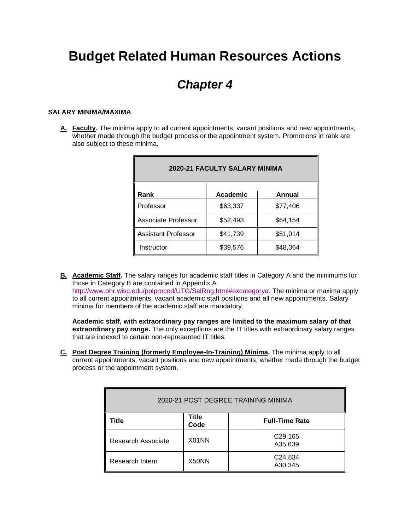# **Budget Related Human Resources Actions**

## *Chapter 4*

#### **SALARY MINIMA/MAXIMA**

**A. Faculty.** The minima apply to all current appointments, vacant positions and new appointments, whether made through the budget process or the appointment system. Promotions in rank are also subject to these minima.

| <b>2020-21 FACULTY SALARY MINIMA</b> |          |          |  |  |  |
|--------------------------------------|----------|----------|--|--|--|
| Rank                                 | Academic | Annual   |  |  |  |
| Professor                            | \$63,337 | \$77,406 |  |  |  |
| Associate Professor                  | \$52,493 | \$64,154 |  |  |  |
| Assistant Professor                  | \$41,739 | \$51,014 |  |  |  |
| Instructor                           | \$39,576 | \$48,364 |  |  |  |

**B. Academic Staff.** The salary ranges for academic staff titles in Category A and the minimums for those in Category B are contained in Appendix A. [http://www.ohr.wisc.edu/polproced/UTG/SalRng.html#excategorya.](http://www.ohr.wisc.edu/polproced/UTG/SalRng.html#excategorya) The minima or maxima apply to all current appointments, vacant academic staff positions and all new appointments. Salary minima for members of the academic staff are mandatory.

**Academic staff, with extraordinary pay ranges are limited to the maximum salary of that extraordinary pay range.** The only exceptions are the IT titles with extraordinary salary ranges that are indexed to certain non-represented IT titles.

**C. Post Degree Training (formerly Employee-In-Training) Minima.** The minima apply to all current appointments, vacant positions and new appointments, whether made through the budget process or the appointment system.

| 2020-21 POST DEGREE TRAINING MINIMA |                      |                                 |  |  |  |
|-------------------------------------|----------------------|---------------------------------|--|--|--|
| Title                               | <b>Title</b><br>Code | <b>Full-Time Rate</b>           |  |  |  |
| Research Associate                  | X01NN                | C <sub>29</sub> ,165<br>A35,639 |  |  |  |
| Research Intern                     | X50NN                | C24,834<br>A30,345              |  |  |  |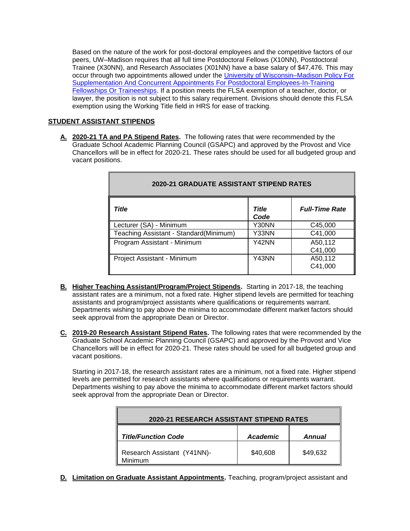Based on the nature of the work for post-doctoral employees and the competitive factors of our peers, UW–Madison requires that all full time Postdoctoral Fellows (X10NN), Postdoctoral Trainee (X30NN), and Research Associates (X01NN) have a base salary of \$47,476. This may occur through two appointments allowed under the [University of Wisconsin–Madison Policy For](https://kb.wisc.edu/gsadminkb/page.php?id=34827)  [Supplementation And Concurrent Appointments For Postdoctoral Employees-In-Training](https://kb.wisc.edu/gsadminkb/page.php?id=34827)  [Fellowships Or Traineeships.](https://kb.wisc.edu/gsadminkb/page.php?id=34827) If a position meets the FLSA exemption of a teacher, doctor, or lawyer, the position is not subject to this salary requirement. Divisions should denote this FLSA exemption using the Working Title field in HRS for ease of tracking.

### **STUDENT ASSISTANT STIPENDS**

**A. 2020-21 TA and PA Stipend Rates.** The following rates that were recommended by the Graduate School Academic Planning Council (GSAPC) and approved by the Provost and Vice Chancellors will be in effect for 2020-21. These rates should be used for all budgeted group and vacant positions.

| Title                                  | <b>Title</b><br>Code | <b>Full-Time Rate</b> |  |  |
|----------------------------------------|----------------------|-----------------------|--|--|
| Lecturer (SA) - Minimum                | Y30NN                | C45,000               |  |  |
| Teaching Assistant - Standard(Minimum) | Y33NN                | C41,000               |  |  |
| Program Assistant - Minimum            | Y42NN                | A50,112               |  |  |
|                                        |                      | C41,000               |  |  |
| Project Assistant - Minimum            | Y43NN                | A50,112               |  |  |
|                                        |                      | C41,000               |  |  |

### **2020-21 GRADUATE ASSISTANT STIPEND RATES**

- **B. Higher Teaching Assistant/Program/Project Stipends.** Starting in 2017-18, the teaching assistant rates are a minimum, not a fixed rate. Higher stipend levels are permitted for teaching assistants and program/project assistants where qualifications or requirements warrant. Departments wishing to pay above the minima to accommodate different market factors should seek approval from the appropriate Dean or Director.
- **C. 2019-20 Research Assistant Stipend Rates.** The following rates that were recommended by the Graduate School Academic Planning Council (GSAPC) and approved by the Provost and Vice Chancellors will be in effect for 2020-21. These rates should be used for all budgeted group and vacant positions.

Starting in 2017-18, the research assistant rates are a minimum, not a fixed rate. Higher stipend levels are permitted for research assistants where qualifications or requirements warrant. Departments wishing to pay above the minima to accommodate different market factors should seek approval from the appropriate Dean or Director.

| <b>2020-21 RESEARCH ASSISTANT STIPEND RATES</b> |                                  |          |  |  |
|-------------------------------------------------|----------------------------------|----------|--|--|
| <b>Title/Function Code</b>                      | <b>Academic</b><br><b>Annual</b> |          |  |  |
| Research Assistant (Y41NN)-<br>Minimum          | \$40,608                         | \$49,632 |  |  |

**D. Limitation on Graduate Assistant Appointments.** Teaching, program/project assistant and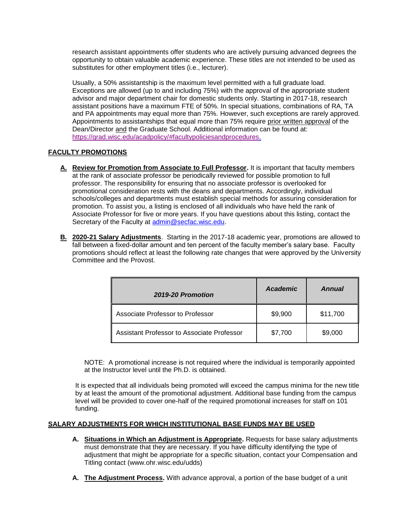research assistant appointments offer students who are actively pursuing advanced degrees the opportunity to obtain valuable academic experience. These titles are not intended to be used as substitutes for other employment titles (i.e., lecturer).

Usually, a 50% assistantship is the maximum level permitted with a full graduate load. Exceptions are allowed (up to and including 75%) with the approval of the appropriate student advisor and major department chair for domestic students only. Starting in 2017-18, research assistant positions have a maximum FTE of 50%. In special situations, combinations of RA, TA and PA appointments may equal more than 75%. However, such exceptions are rarely approved. Appointments to assistantships that equal more than 75% require prior written approval of the Dean/Director and the Graduate School. Additional information can be found at: [https://grad.wisc.edu/acadpolicy/#facultypoliciesandprocedures.](https://grad.wisc.edu/acadpolicy/#facultypoliciesandprocedures)

#### **FACULTY PROMOTIONS**

- **A. Review for Promotion from Associate to Full Professor.** It is important that faculty members at the rank of associate professor be periodically reviewed for possible promotion to full professor. The responsibility for ensuring that no associate professor is overlooked for promotional consideration rests with the deans and departments. Accordingly, individual schools/colleges and departments must establish special methods for assuring consideration for promotion. To assist you, a listing is enclosed of all individuals who have held the rank of Associate Professor for five or more years. If you have questions about this listing, contact the Secretary of the Faculty at [admin@secfac.wisc.edu.](mailto:admin@secfac.wisc.edu)
- **B. 2020-21 Salary Adjustments**. Starting in the 2017-18 academic year, promotions are allowed to fall between a fixed-dollar amount and ten percent of the faculty member's salary base. Faculty promotions should reflect at least the following rate changes that were approved by the University Committee and the Provost.

| 2019-20 Promotion                                 | Academic | Annual   |
|---------------------------------------------------|----------|----------|
| Associate Professor to Professor                  | \$9,900  | \$11,700 |
| <b>Assistant Professor to Associate Professor</b> | \$7,700  | \$9,000  |

NOTE: A promotional increase is not required where the individual is temporarily appointed at the Instructor level until the Ph.D. is obtained.

It is expected that all individuals being promoted will exceed the campus minima for the new title by at least the amount of the promotional adjustment. Additional base funding from the campus level will be provided to cover one-half of the required promotional increases for staff on 101 funding.

#### **SALARY ADJUSTMENTS FOR WHICH INSTITUTIONAL BASE FUNDS MAY BE USED**

- **A. Situations in Which an Adjustment is Appropriate.** Requests for base salary adjustments must demonstrate that they are necessary. If you have difficulty identifying the type of adjustment that might be appropriate for a specific situation, contact your Compensation and Titling contact (www.ohr.wisc.edu/udds)
- **A. The Adjustment Process.** With advance approval, a portion of the base budget of a unit